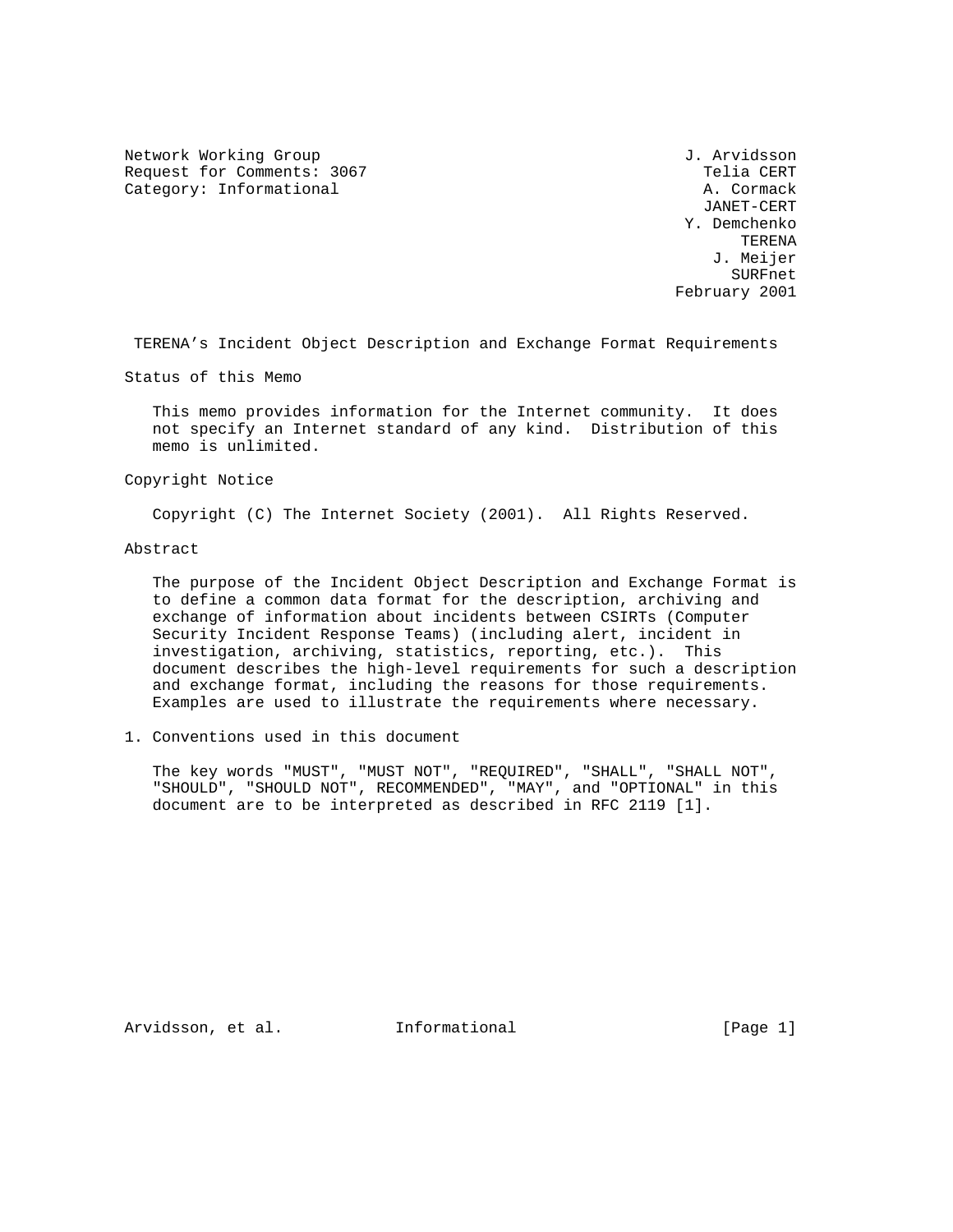Network Working Group 3. Arvidsson Request for Comments: 3067 Telia CERT Category: Informational and A. Cormack

 JANET-CERT Y. Demchenko **TERENA**  J. Meijer SURFnet February 2001

TERENA's Incident Object Description and Exchange Format Requirements

Status of this Memo

 This memo provides information for the Internet community. It does not specify an Internet standard of any kind. Distribution of this memo is unlimited.

Copyright Notice

Copyright (C) The Internet Society (2001). All Rights Reserved.

Abstract

 The purpose of the Incident Object Description and Exchange Format is to define a common data format for the description, archiving and exchange of information about incidents between CSIRTs (Computer Security Incident Response Teams) (including alert, incident in investigation, archiving, statistics, reporting, etc.). This document describes the high-level requirements for such a description and exchange format, including the reasons for those requirements. Examples are used to illustrate the requirements where necessary.

1. Conventions used in this document

 The key words "MUST", "MUST NOT", "REQUIRED", "SHALL", "SHALL NOT", "SHOULD", "SHOULD NOT", RECOMMENDED", "MAY", and "OPTIONAL" in this document are to be interpreted as described in RFC 2119 [1].

Arvidsson, et al. 1nformational [Page 1]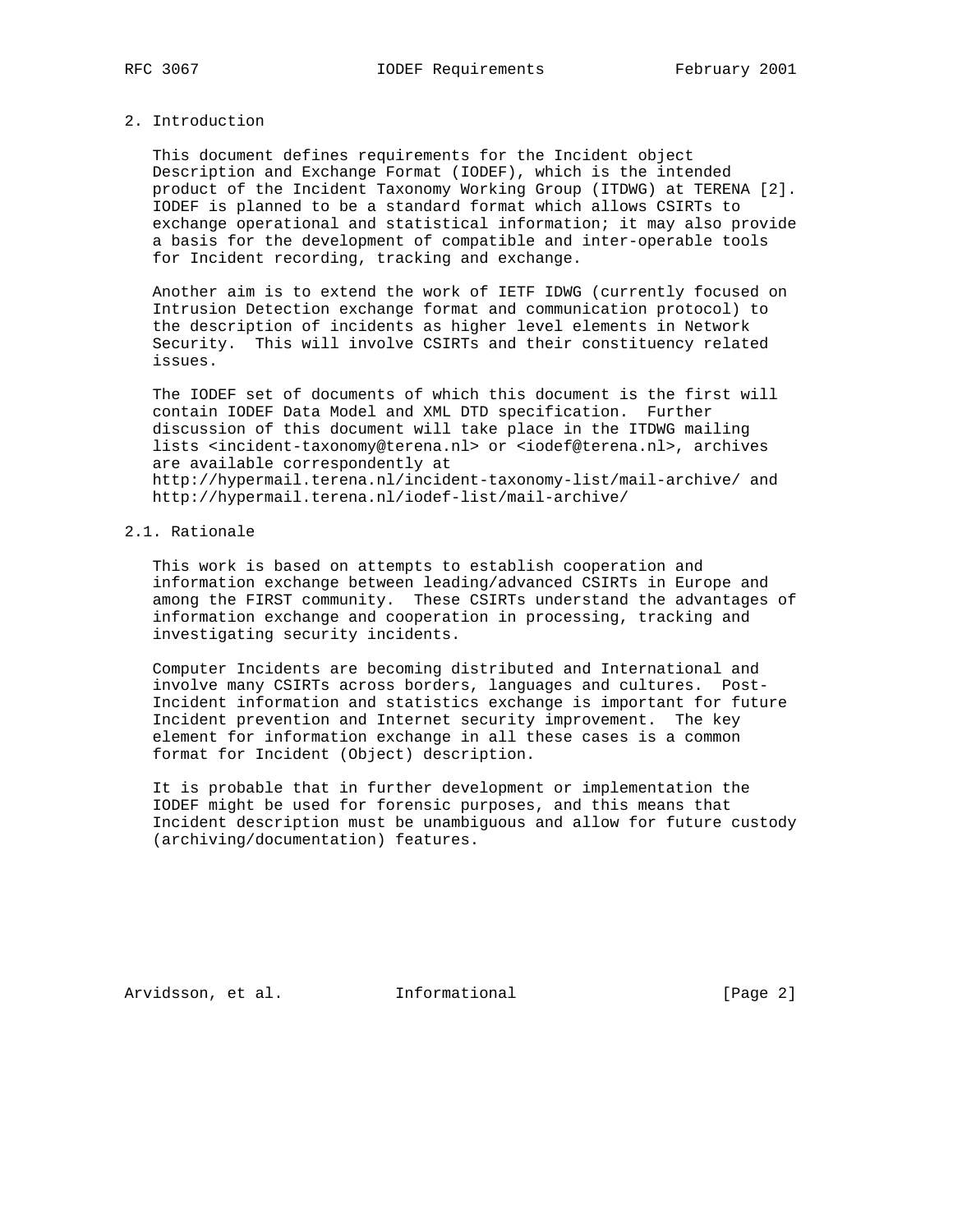## 2. Introduction

 This document defines requirements for the Incident object Description and Exchange Format (IODEF), which is the intended product of the Incident Taxonomy Working Group (ITDWG) at TERENA [2]. IODEF is planned to be a standard format which allows CSIRTs to exchange operational and statistical information; it may also provide a basis for the development of compatible and inter-operable tools for Incident recording, tracking and exchange.

 Another aim is to extend the work of IETF IDWG (currently focused on Intrusion Detection exchange format and communication protocol) to the description of incidents as higher level elements in Network Security. This will involve CSIRTs and their constituency related issues.

 The IODEF set of documents of which this document is the first will contain IODEF Data Model and XML DTD specification. Further discussion of this document will take place in the ITDWG mailing lists <incident-taxonomy@terena.nl> or <iodef@terena.nl>, archives are available correspondently at http://hypermail.terena.nl/incident-taxonomy-list/mail-archive/ and http://hypermail.terena.nl/iodef-list/mail-archive/

# 2.1. Rationale

 This work is based on attempts to establish cooperation and information exchange between leading/advanced CSIRTs in Europe and among the FIRST community. These CSIRTs understand the advantages of information exchange and cooperation in processing, tracking and investigating security incidents.

 Computer Incidents are becoming distributed and International and involve many CSIRTs across borders, languages and cultures. Post- Incident information and statistics exchange is important for future Incident prevention and Internet security improvement. The key element for information exchange in all these cases is a common format for Incident (Object) description.

 It is probable that in further development or implementation the IODEF might be used for forensic purposes, and this means that Incident description must be unambiguous and allow for future custody (archiving/documentation) features.

Arvidsson, et al. 1nformational [Page 2]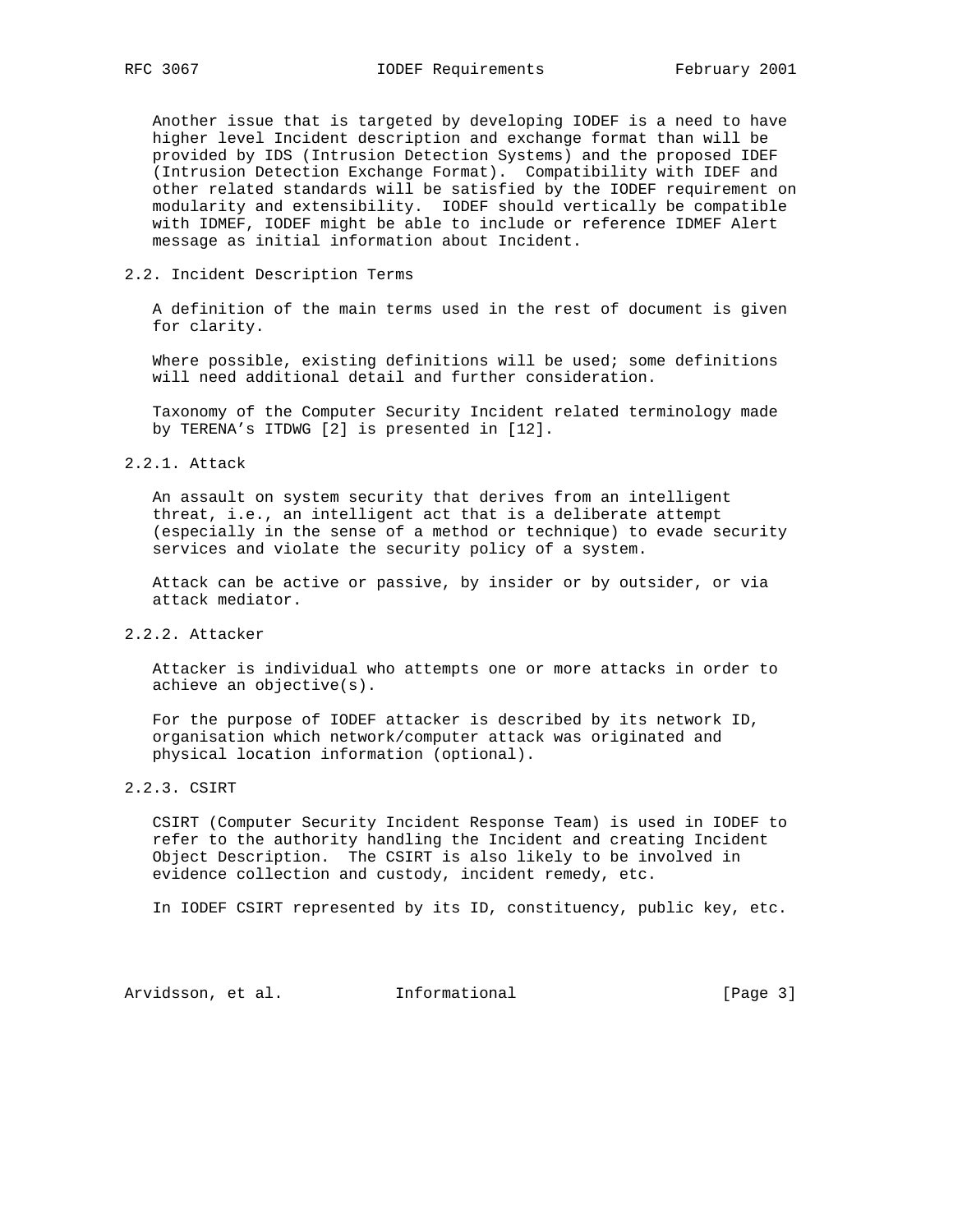Another issue that is targeted by developing IODEF is a need to have higher level Incident description and exchange format than will be provided by IDS (Intrusion Detection Systems) and the proposed IDEF (Intrusion Detection Exchange Format). Compatibility with IDEF and other related standards will be satisfied by the IODEF requirement on modularity and extensibility. IODEF should vertically be compatible with IDMEF, IODEF might be able to include or reference IDMEF Alert message as initial information about Incident.

## 2.2. Incident Description Terms

 A definition of the main terms used in the rest of document is given for clarity.

 Where possible, existing definitions will be used; some definitions will need additional detail and further consideration.

 Taxonomy of the Computer Security Incident related terminology made by TERENA's ITDWG [2] is presented in [12].

# 2.2.1. Attack

 An assault on system security that derives from an intelligent threat, i.e., an intelligent act that is a deliberate attempt (especially in the sense of a method or technique) to evade security services and violate the security policy of a system.

 Attack can be active or passive, by insider or by outsider, or via attack mediator.

# 2.2.2. Attacker

 Attacker is individual who attempts one or more attacks in order to achieve an objective(s).

 For the purpose of IODEF attacker is described by its network ID, organisation which network/computer attack was originated and physical location information (optional).

## 2.2.3. CSIRT

 CSIRT (Computer Security Incident Response Team) is used in IODEF to refer to the authority handling the Incident and creating Incident Object Description. The CSIRT is also likely to be involved in evidence collection and custody, incident remedy, etc.

In IODEF CSIRT represented by its ID, constituency, public key, etc.

Arvidsson, et al. 1nformational 1999 [Page 3]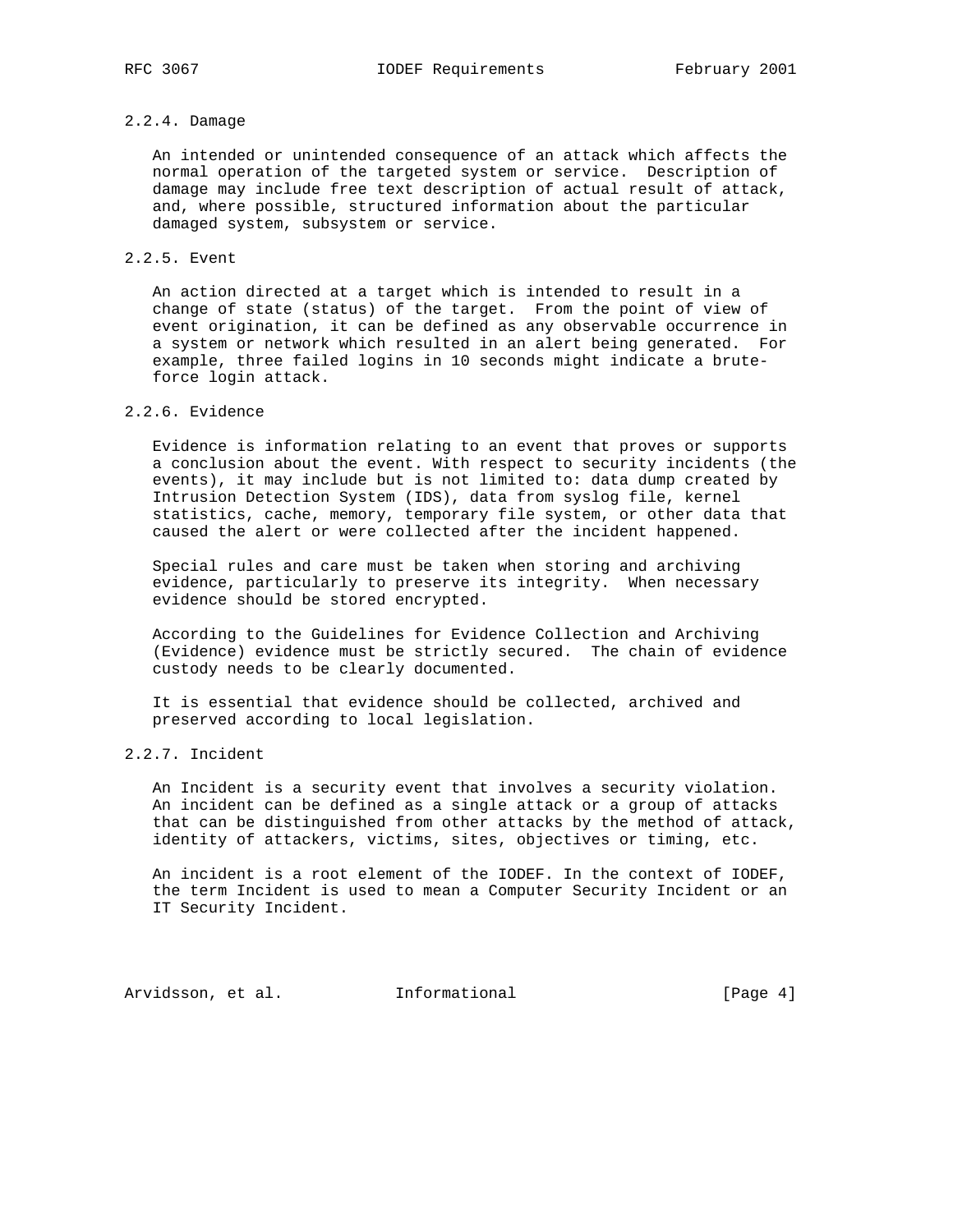# 2.2.4. Damage

 An intended or unintended consequence of an attack which affects the normal operation of the targeted system or service. Description of damage may include free text description of actual result of attack, and, where possible, structured information about the particular damaged system, subsystem or service.

## 2.2.5. Event

 An action directed at a target which is intended to result in a change of state (status) of the target. From the point of view of event origination, it can be defined as any observable occurrence in a system or network which resulted in an alert being generated. For example, three failed logins in 10 seconds might indicate a brute force login attack.

# 2.2.6. Evidence

 Evidence is information relating to an event that proves or supports a conclusion about the event. With respect to security incidents (the events), it may include but is not limited to: data dump created by Intrusion Detection System (IDS), data from syslog file, kernel statistics, cache, memory, temporary file system, or other data that caused the alert or were collected after the incident happened.

 Special rules and care must be taken when storing and archiving evidence, particularly to preserve its integrity. When necessary evidence should be stored encrypted.

 According to the Guidelines for Evidence Collection and Archiving (Evidence) evidence must be strictly secured. The chain of evidence custody needs to be clearly documented.

 It is essential that evidence should be collected, archived and preserved according to local legislation.

# 2.2.7. Incident

 An Incident is a security event that involves a security violation. An incident can be defined as a single attack or a group of attacks that can be distinguished from other attacks by the method of attack, identity of attackers, victims, sites, objectives or timing, etc.

 An incident is a root element of the IODEF. In the context of IODEF, the term Incident is used to mean a Computer Security Incident or an IT Security Incident.

Arvidsson, et al. 1nformational (Page 4)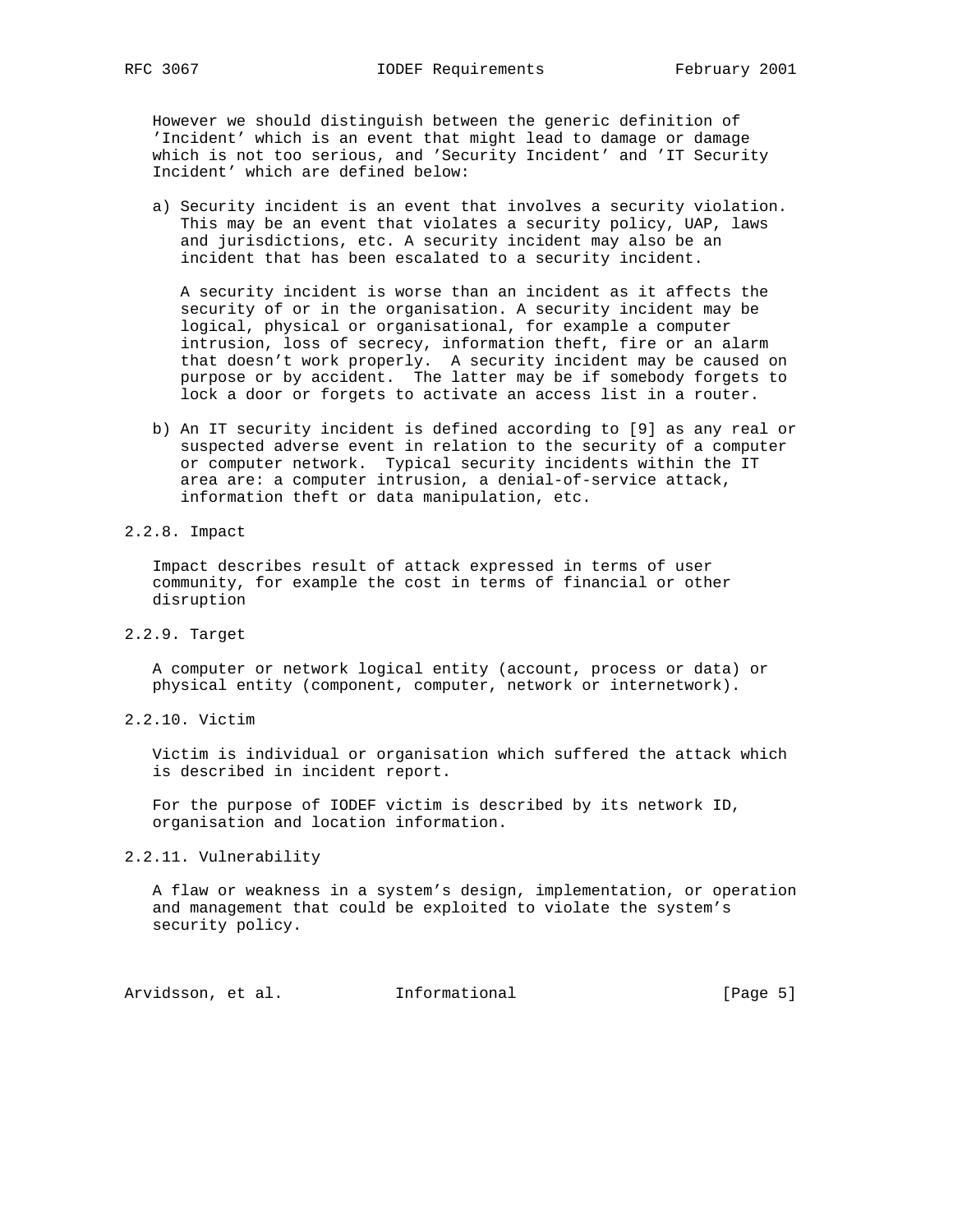However we should distinguish between the generic definition of 'Incident' which is an event that might lead to damage or damage which is not too serious, and 'Security Incident' and 'IT Security Incident' which are defined below:

 a) Security incident is an event that involves a security violation. This may be an event that violates a security policy, UAP, laws and jurisdictions, etc. A security incident may also be an incident that has been escalated to a security incident.

 A security incident is worse than an incident as it affects the security of or in the organisation. A security incident may be logical, physical or organisational, for example a computer intrusion, loss of secrecy, information theft, fire or an alarm that doesn't work properly. A security incident may be caused on purpose or by accident. The latter may be if somebody forgets to lock a door or forgets to activate an access list in a router.

- b) An IT security incident is defined according to [9] as any real or suspected adverse event in relation to the security of a computer or computer network. Typical security incidents within the IT area are: a computer intrusion, a denial-of-service attack, information theft or data manipulation, etc.
- 2.2.8. Impact

 Impact describes result of attack expressed in terms of user community, for example the cost in terms of financial or other disruption

2.2.9. Target

 A computer or network logical entity (account, process or data) or physical entity (component, computer, network or internetwork).

2.2.10. Victim

 Victim is individual or organisation which suffered the attack which is described in incident report.

 For the purpose of IODEF victim is described by its network ID, organisation and location information.

2.2.11. Vulnerability

 A flaw or weakness in a system's design, implementation, or operation and management that could be exploited to violate the system's security policy.

Arvidsson, et al. 1nformational (Page 5)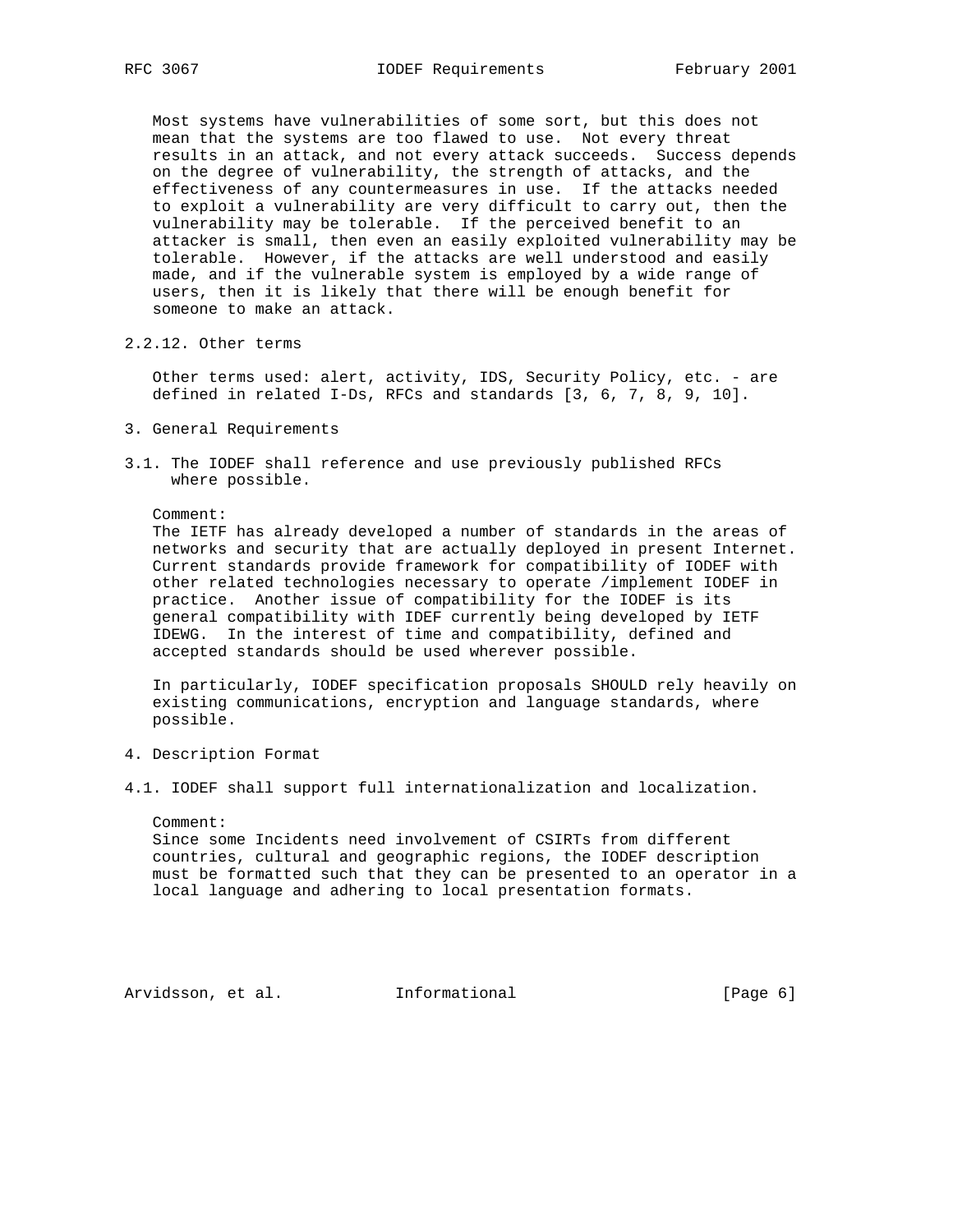Most systems have vulnerabilities of some sort, but this does not mean that the systems are too flawed to use. Not every threat results in an attack, and not every attack succeeds. Success depends on the degree of vulnerability, the strength of attacks, and the effectiveness of any countermeasures in use. If the attacks needed to exploit a vulnerability are very difficult to carry out, then the vulnerability may be tolerable. If the perceived benefit to an attacker is small, then even an easily exploited vulnerability may be tolerable. However, if the attacks are well understood and easily made, and if the vulnerable system is employed by a wide range of users, then it is likely that there will be enough benefit for someone to make an attack.

2.2.12. Other terms

 Other terms used: alert, activity, IDS, Security Policy, etc. - are defined in related I-Ds, RFCs and standards [3, 6, 7, 8, 9, 10].

- 3. General Requirements
- 3.1. The IODEF shall reference and use previously published RFCs where possible.

Comment:

 The IETF has already developed a number of standards in the areas of networks and security that are actually deployed in present Internet. Current standards provide framework for compatibility of IODEF with other related technologies necessary to operate /implement IODEF in practice. Another issue of compatibility for the IODEF is its general compatibility with IDEF currently being developed by IETF IDEWG. In the interest of time and compatibility, defined and accepted standards should be used wherever possible.

 In particularly, IODEF specification proposals SHOULD rely heavily on existing communications, encryption and language standards, where possible.

- 4. Description Format
- 4.1. IODEF shall support full internationalization and localization.

Comment:

 Since some Incidents need involvement of CSIRTs from different countries, cultural and geographic regions, the IODEF description must be formatted such that they can be presented to an operator in a local language and adhering to local presentation formats.

Arvidsson, et al. 1nformational (Page 6)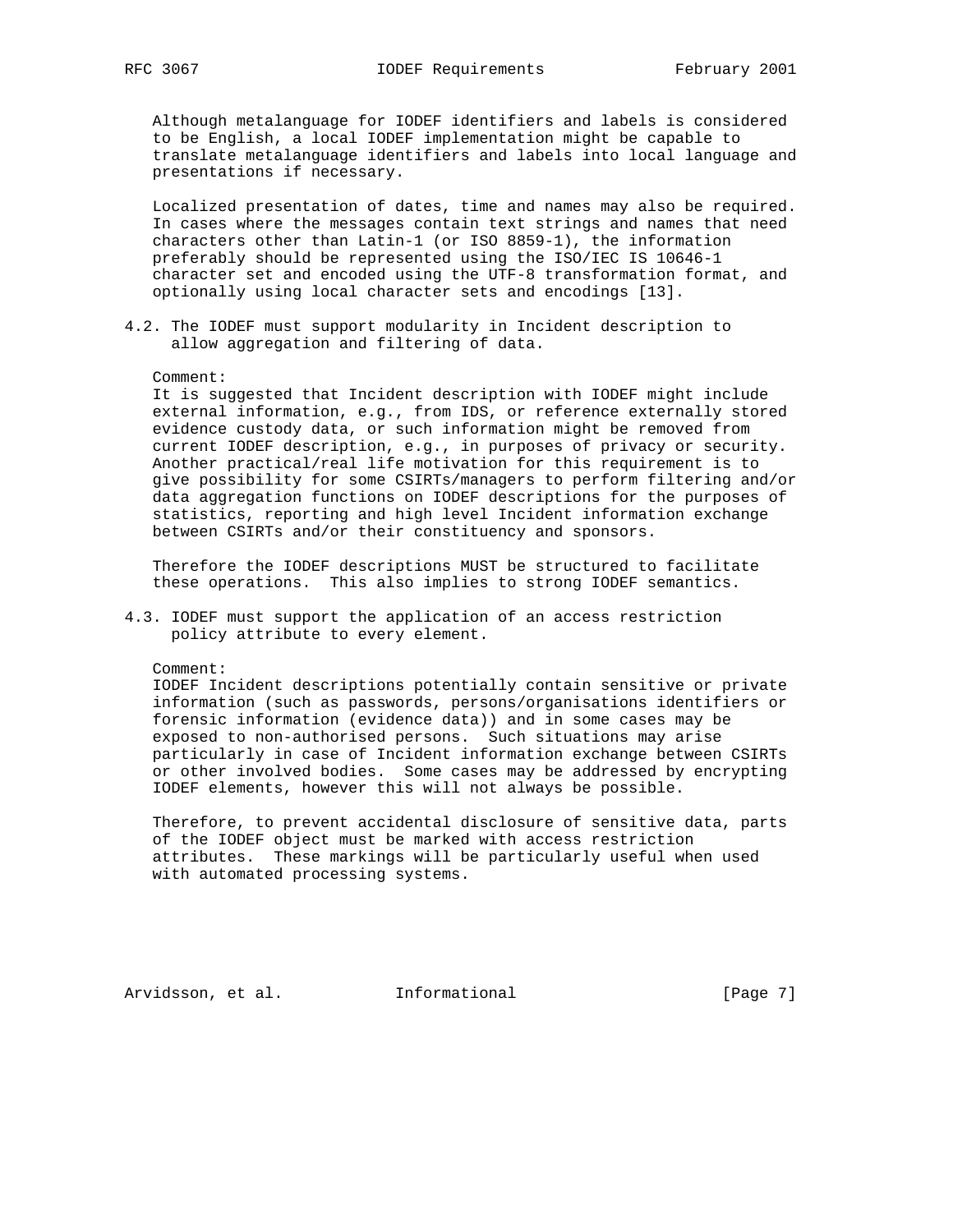Although metalanguage for IODEF identifiers and labels is considered to be English, a local IODEF implementation might be capable to translate metalanguage identifiers and labels into local language and presentations if necessary.

 Localized presentation of dates, time and names may also be required. In cases where the messages contain text strings and names that need characters other than Latin-1 (or ISO 8859-1), the information preferably should be represented using the ISO/IEC IS 10646-1 character set and encoded using the UTF-8 transformation format, and optionally using local character sets and encodings [13].

4.2. The IODEF must support modularity in Incident description to allow aggregation and filtering of data.

#### Comment:

 It is suggested that Incident description with IODEF might include external information, e.g., from IDS, or reference externally stored evidence custody data, or such information might be removed from current IODEF description, e.g., in purposes of privacy or security. Another practical/real life motivation for this requirement is to give possibility for some CSIRTs/managers to perform filtering and/or data aggregation functions on IODEF descriptions for the purposes of statistics, reporting and high level Incident information exchange between CSIRTs and/or their constituency and sponsors.

 Therefore the IODEF descriptions MUST be structured to facilitate these operations. This also implies to strong IODEF semantics.

4.3. IODEF must support the application of an access restriction policy attribute to every element.

### Comment:

 IODEF Incident descriptions potentially contain sensitive or private information (such as passwords, persons/organisations identifiers or forensic information (evidence data)) and in some cases may be exposed to non-authorised persons. Such situations may arise particularly in case of Incident information exchange between CSIRTs or other involved bodies. Some cases may be addressed by encrypting IODEF elements, however this will not always be possible.

 Therefore, to prevent accidental disclosure of sensitive data, parts of the IODEF object must be marked with access restriction attributes. These markings will be particularly useful when used with automated processing systems.

Arvidsson, et al. 1nformational [Page 7]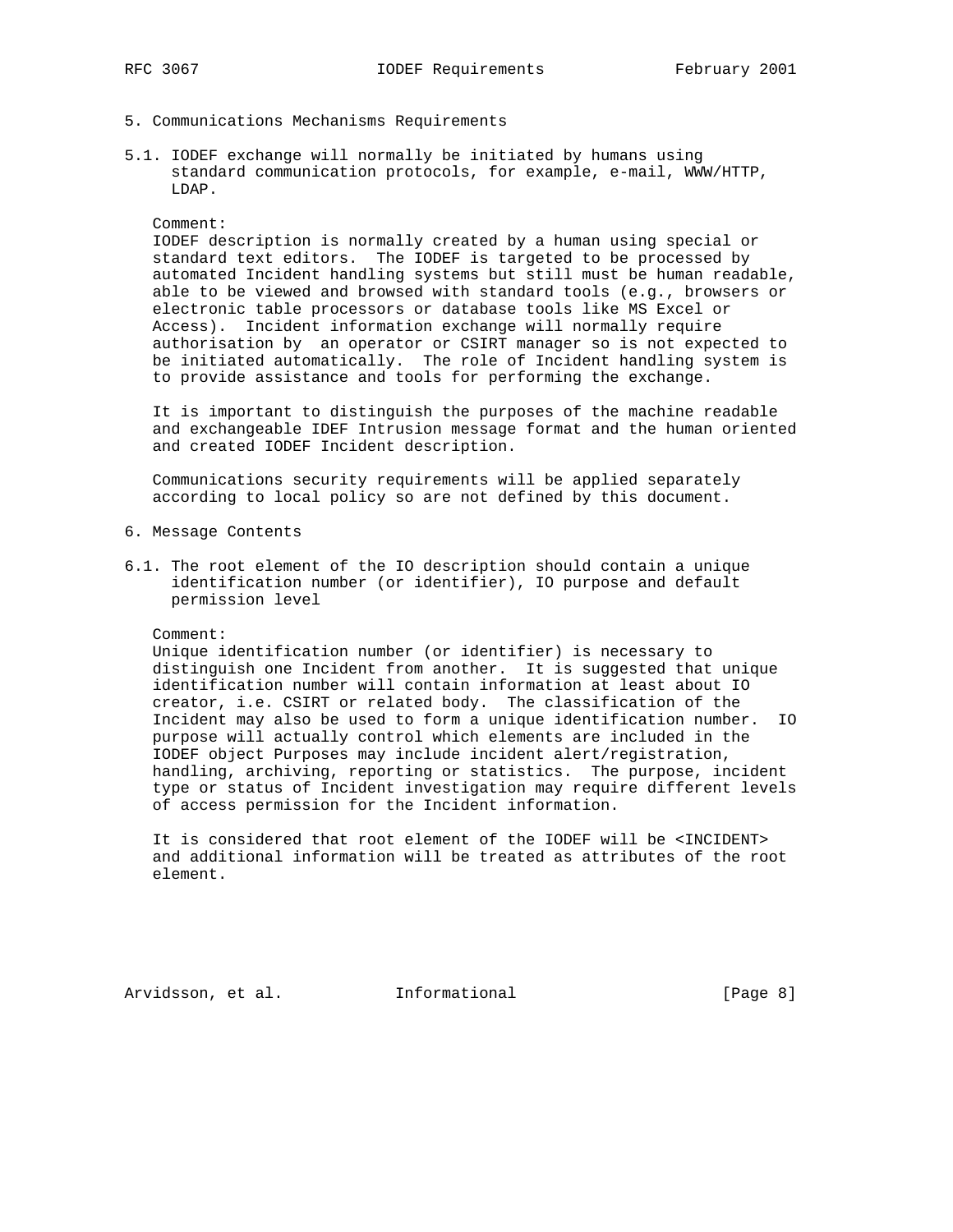- 5. Communications Mechanisms Requirements
- 5.1. IODEF exchange will normally be initiated by humans using standard communication protocols, for example, e-mail, WWW/HTTP, LDAP.

### Comment:

 IODEF description is normally created by a human using special or standard text editors. The IODEF is targeted to be processed by automated Incident handling systems but still must be human readable, able to be viewed and browsed with standard tools (e.g., browsers or electronic table processors or database tools like MS Excel or Access). Incident information exchange will normally require authorisation by an operator or CSIRT manager so is not expected to be initiated automatically. The role of Incident handling system is to provide assistance and tools for performing the exchange.

 It is important to distinguish the purposes of the machine readable and exchangeable IDEF Intrusion message format and the human oriented and created IODEF Incident description.

 Communications security requirements will be applied separately according to local policy so are not defined by this document.

- 6. Message Contents
- 6.1. The root element of the IO description should contain a unique identification number (or identifier), IO purpose and default permission level

#### Comment:

 Unique identification number (or identifier) is necessary to distinguish one Incident from another. It is suggested that unique identification number will contain information at least about IO creator, i.e. CSIRT or related body. The classification of the Incident may also be used to form a unique identification number. IO purpose will actually control which elements are included in the IODEF object Purposes may include incident alert/registration, handling, archiving, reporting or statistics. The purpose, incident type or status of Incident investigation may require different levels of access permission for the Incident information.

 It is considered that root element of the IODEF will be <INCIDENT> and additional information will be treated as attributes of the root element.

Arvidsson, et al. 1nformational (Page 8)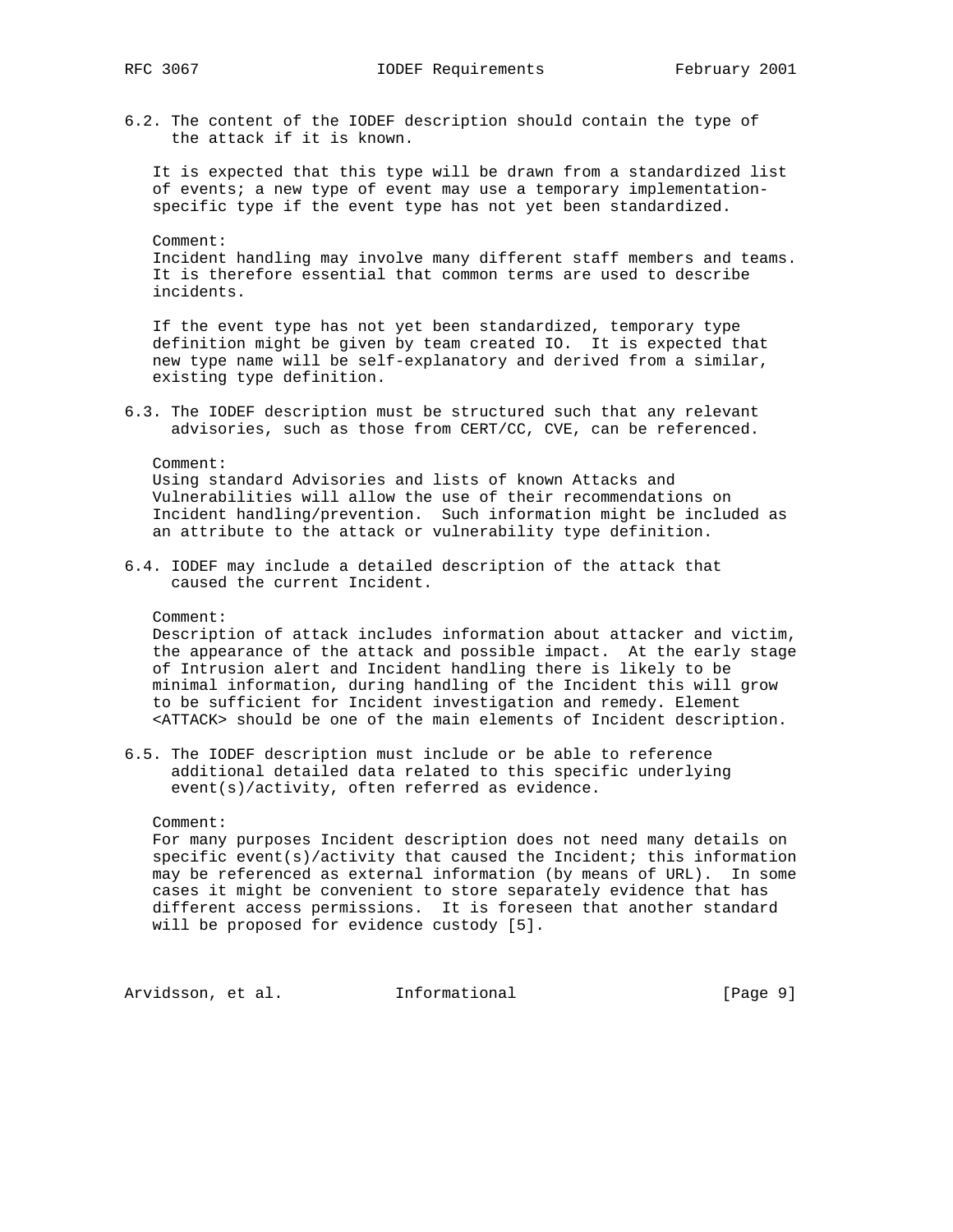6.2. The content of the IODEF description should contain the type of the attack if it is known.

 It is expected that this type will be drawn from a standardized list of events; a new type of event may use a temporary implementation specific type if the event type has not yet been standardized.

 Comment: Incident handling may involve many different staff members and teams. It is therefore essential that common terms are used to describe incidents.

 If the event type has not yet been standardized, temporary type definition might be given by team created IO. It is expected that new type name will be self-explanatory and derived from a similar, existing type definition.

6.3. The IODEF description must be structured such that any relevant advisories, such as those from CERT/CC, CVE, can be referenced.

Comment:

 Using standard Advisories and lists of known Attacks and Vulnerabilities will allow the use of their recommendations on Incident handling/prevention. Such information might be included as an attribute to the attack or vulnerability type definition.

6.4. IODEF may include a detailed description of the attack that caused the current Incident.

Comment:

 Description of attack includes information about attacker and victim, the appearance of the attack and possible impact. At the early stage of Intrusion alert and Incident handling there is likely to be minimal information, during handling of the Incident this will grow to be sufficient for Incident investigation and remedy. Element <ATTACK> should be one of the main elements of Incident description.

6.5. The IODEF description must include or be able to reference additional detailed data related to this specific underlying event(s)/activity, often referred as evidence.

Comment:

 For many purposes Incident description does not need many details on specific event(s)/activity that caused the Incident; this information may be referenced as external information (by means of URL). In some cases it might be convenient to store separately evidence that has different access permissions. It is foreseen that another standard will be proposed for evidence custody [5].

Arvidsson, et al. 1nformational 1999 [Page 9]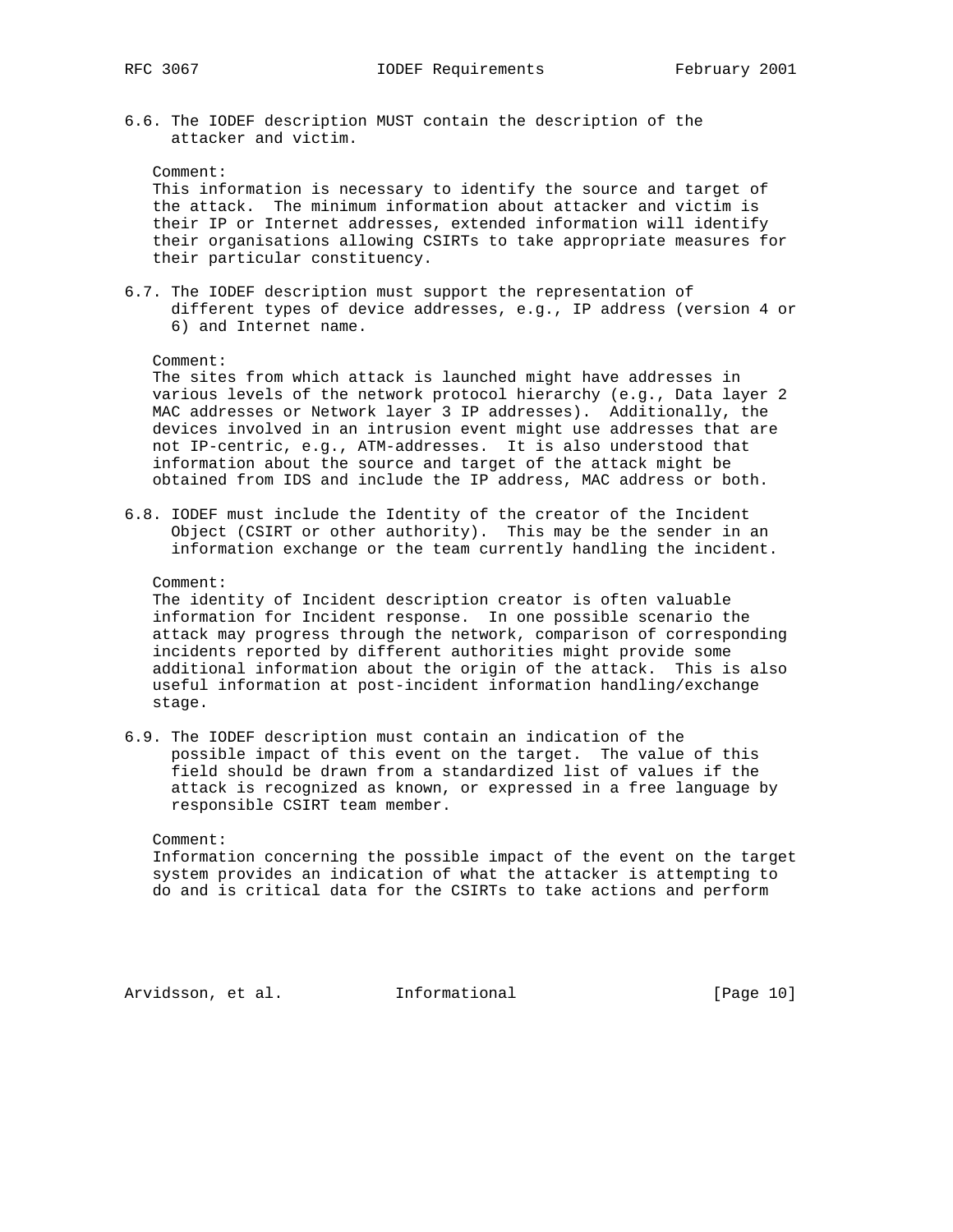6.6. The IODEF description MUST contain the description of the attacker and victim.

Comment:

 This information is necessary to identify the source and target of the attack. The minimum information about attacker and victim is their IP or Internet addresses, extended information will identify their organisations allowing CSIRTs to take appropriate measures for their particular constituency.

6.7. The IODEF description must support the representation of different types of device addresses, e.g., IP address (version 4 or 6) and Internet name.

Comment:

 The sites from which attack is launched might have addresses in various levels of the network protocol hierarchy (e.g., Data layer 2 MAC addresses or Network layer 3 IP addresses). Additionally, the devices involved in an intrusion event might use addresses that are not IP-centric, e.g., ATM-addresses. It is also understood that information about the source and target of the attack might be obtained from IDS and include the IP address, MAC address or both.

6.8. IODEF must include the Identity of the creator of the Incident Object (CSIRT or other authority). This may be the sender in an information exchange or the team currently handling the incident.

Comment:

 The identity of Incident description creator is often valuable information for Incident response. In one possible scenario the attack may progress through the network, comparison of corresponding incidents reported by different authorities might provide some additional information about the origin of the attack. This is also useful information at post-incident information handling/exchange stage.

6.9. The IODEF description must contain an indication of the possible impact of this event on the target. The value of this field should be drawn from a standardized list of values if the attack is recognized as known, or expressed in a free language by responsible CSIRT team member.

Comment:

 Information concerning the possible impact of the event on the target system provides an indication of what the attacker is attempting to do and is critical data for the CSIRTs to take actions and perform

Arvidsson, et al. 1nformational [Page 10]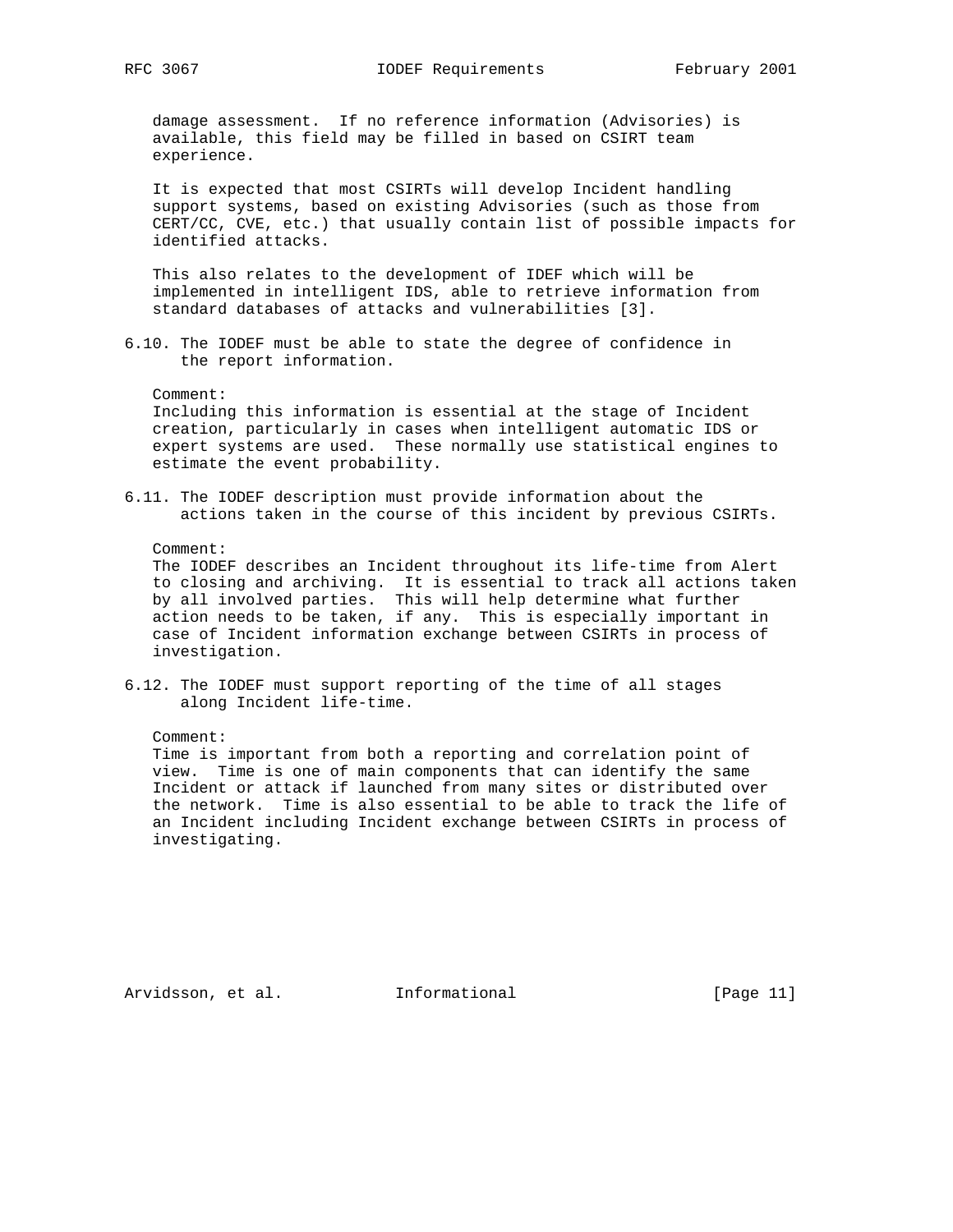damage assessment. If no reference information (Advisories) is available, this field may be filled in based on CSIRT team experience.

 It is expected that most CSIRTs will develop Incident handling support systems, based on existing Advisories (such as those from CERT/CC, CVE, etc.) that usually contain list of possible impacts for identified attacks.

 This also relates to the development of IDEF which will be implemented in intelligent IDS, able to retrieve information from standard databases of attacks and vulnerabilities [3].

6.10. The IODEF must be able to state the degree of confidence in the report information.

Comment:

 Including this information is essential at the stage of Incident creation, particularly in cases when intelligent automatic IDS or expert systems are used. These normally use statistical engines to estimate the event probability.

6.11. The IODEF description must provide information about the actions taken in the course of this incident by previous CSIRTs.

#### Comment:

 The IODEF describes an Incident throughout its life-time from Alert to closing and archiving. It is essential to track all actions taken by all involved parties. This will help determine what further action needs to be taken, if any. This is especially important in case of Incident information exchange between CSIRTs in process of investigation.

6.12. The IODEF must support reporting of the time of all stages along Incident life-time.

Comment:

 Time is important from both a reporting and correlation point of view. Time is one of main components that can identify the same Incident or attack if launched from many sites or distributed over the network. Time is also essential to be able to track the life of an Incident including Incident exchange between CSIRTs in process of investigating.

Arvidsson, et al. Informational [Page 11]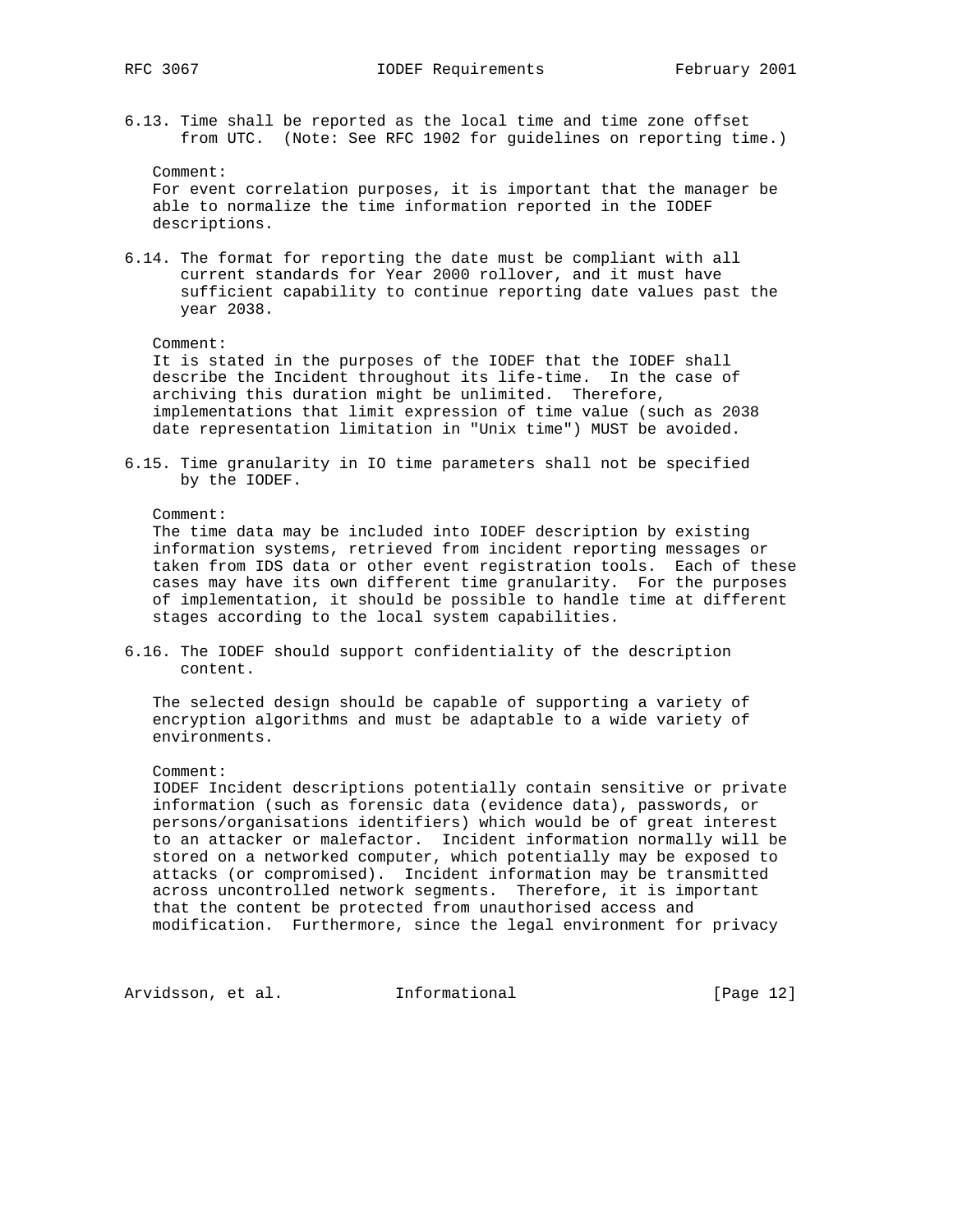6.13. Time shall be reported as the local time and time zone offset from UTC. (Note: See RFC 1902 for guidelines on reporting time.)

Comment:

 For event correlation purposes, it is important that the manager be able to normalize the time information reported in the IODEF descriptions.

6.14. The format for reporting the date must be compliant with all current standards for Year 2000 rollover, and it must have sufficient capability to continue reporting date values past the year 2038.

#### Comment:

 It is stated in the purposes of the IODEF that the IODEF shall describe the Incident throughout its life-time. In the case of archiving this duration might be unlimited. Therefore, implementations that limit expression of time value (such as 2038 date representation limitation in "Unix time") MUST be avoided.

6.15. Time granularity in IO time parameters shall not be specified by the IODEF.

### Comment:

 The time data may be included into IODEF description by existing information systems, retrieved from incident reporting messages or taken from IDS data or other event registration tools. Each of these cases may have its own different time granularity. For the purposes of implementation, it should be possible to handle time at different stages according to the local system capabilities.

6.16. The IODEF should support confidentiality of the description content.

 The selected design should be capable of supporting a variety of encryption algorithms and must be adaptable to a wide variety of environments.

#### Comment:

 IODEF Incident descriptions potentially contain sensitive or private information (such as forensic data (evidence data), passwords, or persons/organisations identifiers) which would be of great interest to an attacker or malefactor. Incident information normally will be stored on a networked computer, which potentially may be exposed to attacks (or compromised). Incident information may be transmitted across uncontrolled network segments. Therefore, it is important that the content be protected from unauthorised access and modification. Furthermore, since the legal environment for privacy

Arvidsson, et al. 1nformational 1999 [Page 12]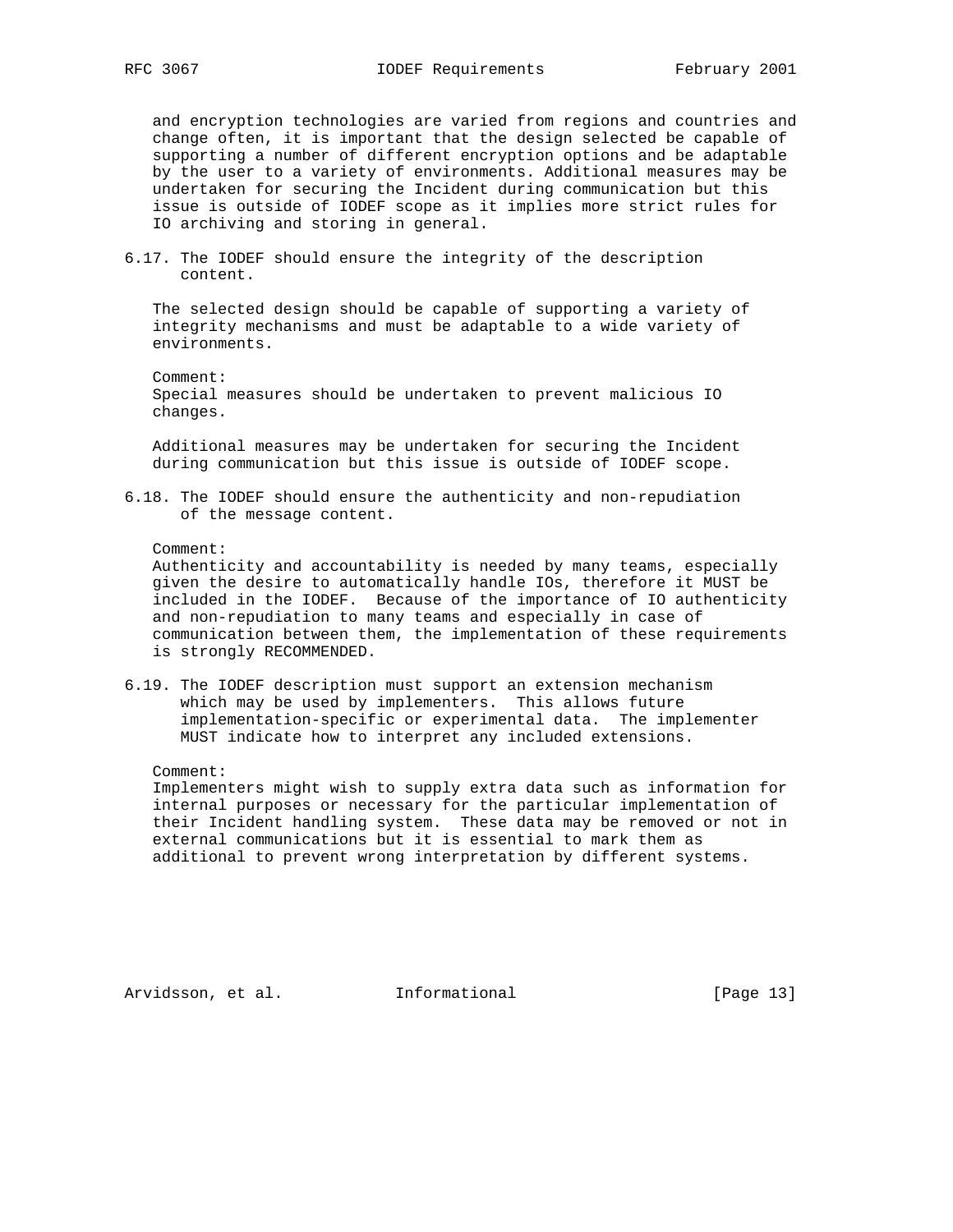and encryption technologies are varied from regions and countries and change often, it is important that the design selected be capable of supporting a number of different encryption options and be adaptable by the user to a variety of environments. Additional measures may be undertaken for securing the Incident during communication but this issue is outside of IODEF scope as it implies more strict rules for IO archiving and storing in general.

6.17. The IODEF should ensure the integrity of the description content.

 The selected design should be capable of supporting a variety of integrity mechanisms and must be adaptable to a wide variety of environments.

 Comment: Special measures should be undertaken to prevent malicious IO changes.

 Additional measures may be undertaken for securing the Incident during communication but this issue is outside of IODEF scope.

6.18. The IODEF should ensure the authenticity and non-repudiation of the message content.

#### Comment:

 Authenticity and accountability is needed by many teams, especially given the desire to automatically handle IOs, therefore it MUST be included in the IODEF. Because of the importance of IO authenticity and non-repudiation to many teams and especially in case of communication between them, the implementation of these requirements is strongly RECOMMENDED.

6.19. The IODEF description must support an extension mechanism which may be used by implementers. This allows future implementation-specific or experimental data. The implementer MUST indicate how to interpret any included extensions.

## Comment:

 Implementers might wish to supply extra data such as information for internal purposes or necessary for the particular implementation of their Incident handling system. These data may be removed or not in external communications but it is essential to mark them as additional to prevent wrong interpretation by different systems.

Arvidsson, et al. 1nformational [Page 13]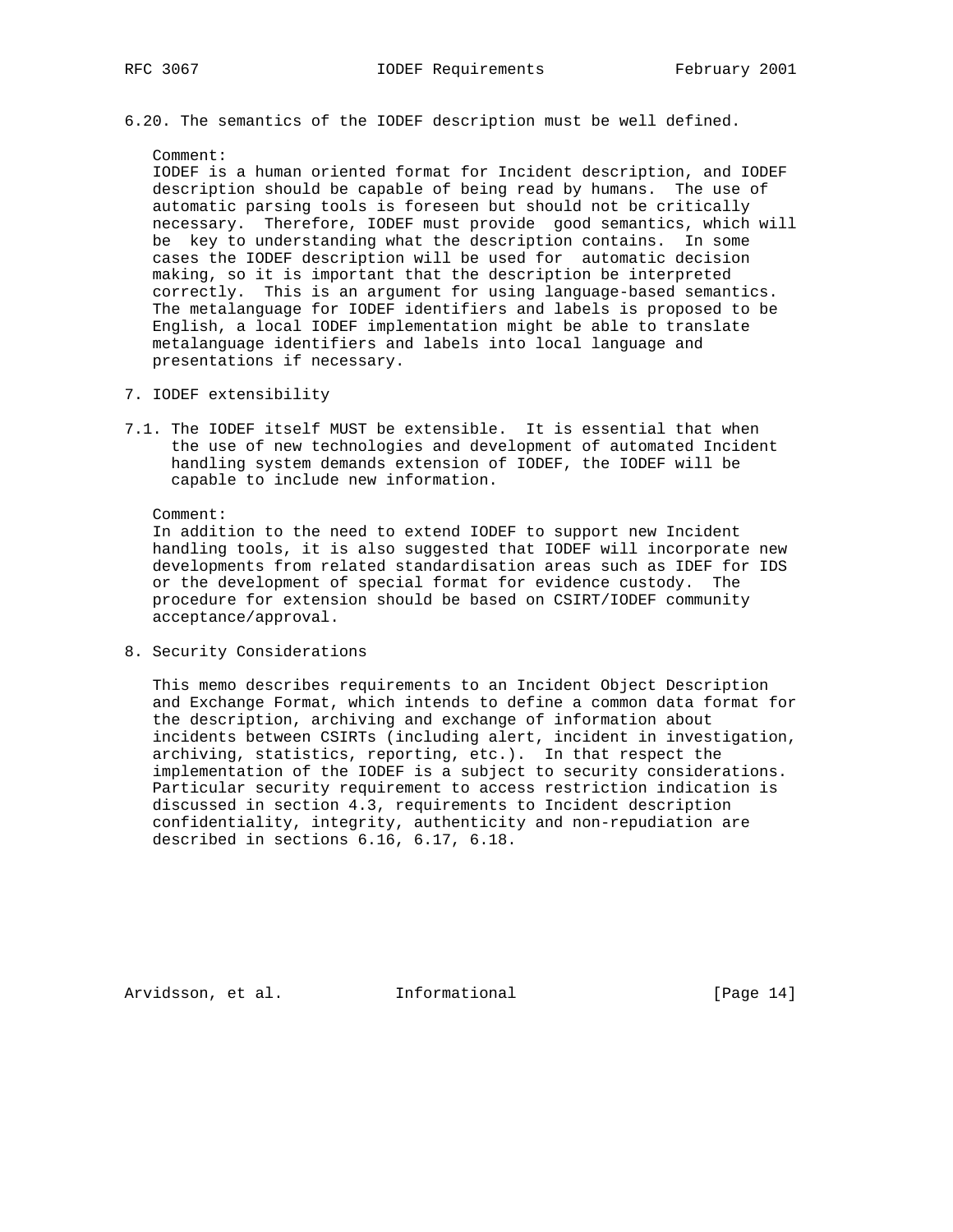6.20. The semantics of the IODEF description must be well defined.

Comment:

 IODEF is a human oriented format for Incident description, and IODEF description should be capable of being read by humans. The use of automatic parsing tools is foreseen but should not be critically necessary. Therefore, IODEF must provide good semantics, which will be key to understanding what the description contains. In some cases the IODEF description will be used for automatic decision making, so it is important that the description be interpreted correctly. This is an argument for using language-based semantics. The metalanguage for IODEF identifiers and labels is proposed to be English, a local IODEF implementation might be able to translate metalanguage identifiers and labels into local language and presentations if necessary.

- 7. IODEF extensibility
- 7.1. The IODEF itself MUST be extensible. It is essential that when the use of new technologies and development of automated Incident handling system demands extension of IODEF, the IODEF will be capable to include new information.

Comment:

 In addition to the need to extend IODEF to support new Incident handling tools, it is also suggested that IODEF will incorporate new developments from related standardisation areas such as IDEF for IDS or the development of special format for evidence custody. The procedure for extension should be based on CSIRT/IODEF community acceptance/approval.

8. Security Considerations

 This memo describes requirements to an Incident Object Description and Exchange Format, which intends to define a common data format for the description, archiving and exchange of information about incidents between CSIRTs (including alert, incident in investigation, archiving, statistics, reporting, etc.). In that respect the implementation of the IODEF is a subject to security considerations. Particular security requirement to access restriction indication is discussed in section 4.3, requirements to Incident description confidentiality, integrity, authenticity and non-repudiation are described in sections 6.16, 6.17, 6.18.

Arvidsson, et al. 1nformational [Page 14]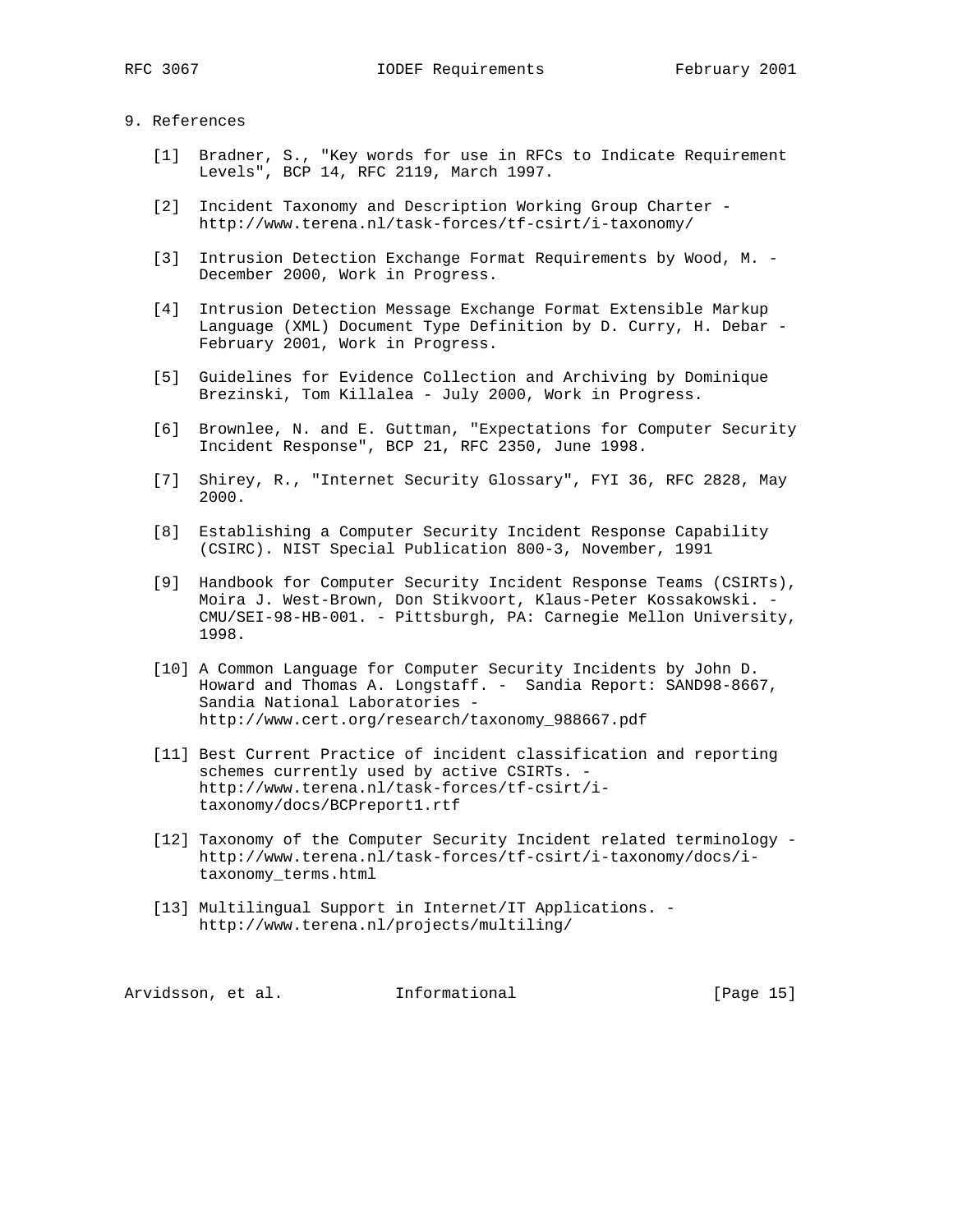# 9. References

- [1] Bradner, S., "Key words for use in RFCs to Indicate Requirement Levels", BCP 14, RFC 2119, March 1997.
- [2] Incident Taxonomy and Description Working Group Charter http://www.terena.nl/task-forces/tf-csirt/i-taxonomy/
- [3] Intrusion Detection Exchange Format Requirements by Wood, M. December 2000, Work in Progress.
- [4] Intrusion Detection Message Exchange Format Extensible Markup Language (XML) Document Type Definition by D. Curry, H. Debar - February 2001, Work in Progress.
- [5] Guidelines for Evidence Collection and Archiving by Dominique Brezinski, Tom Killalea - July 2000, Work in Progress.
- [6] Brownlee, N. and E. Guttman, "Expectations for Computer Security Incident Response", BCP 21, RFC 2350, June 1998.
- [7] Shirey, R., "Internet Security Glossary", FYI 36, RFC 2828, May 2000.
- [8] Establishing a Computer Security Incident Response Capability (CSIRC). NIST Special Publication 800-3, November, 1991
- [9] Handbook for Computer Security Incident Response Teams (CSIRTs), Moira J. West-Brown, Don Stikvoort, Klaus-Peter Kossakowski. - CMU/SEI-98-HB-001. - Pittsburgh, PA: Carnegie Mellon University, 1998.
- [10] A Common Language for Computer Security Incidents by John D. Howard and Thomas A. Longstaff. - Sandia Report: SAND98-8667, Sandia National Laboratories http://www.cert.org/research/taxonomy\_988667.pdf
- [11] Best Current Practice of incident classification and reporting schemes currently used by active CSIRTs. http://www.terena.nl/task-forces/tf-csirt/i taxonomy/docs/BCPreport1.rtf
- [12] Taxonomy of the Computer Security Incident related terminology http://www.terena.nl/task-forces/tf-csirt/i-taxonomy/docs/i taxonomy\_terms.html
- [13] Multilingual Support in Internet/IT Applications. http://www.terena.nl/projects/multiling/

Arvidsson, et al. 1nformational 1999 [Page 15]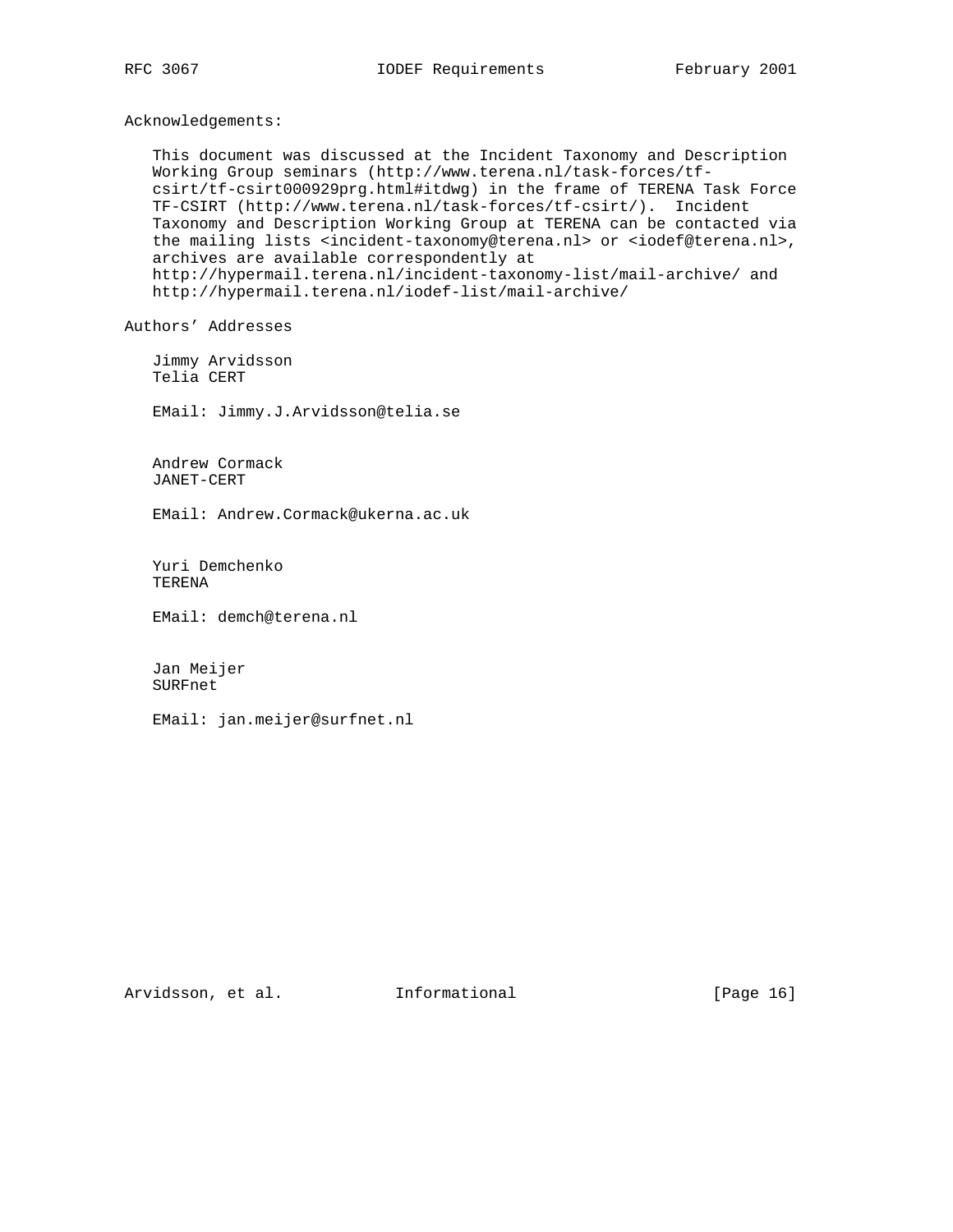Acknowledgements:

 This document was discussed at the Incident Taxonomy and Description Working Group seminars (http://www.terena.nl/task-forces/tf csirt/tf-csirt000929prg.html#itdwg) in the frame of TERENA Task Force TF-CSIRT (http://www.terena.nl/task-forces/tf-csirt/). Incident Taxonomy and Description Working Group at TERENA can be contacted via the mailing lists <incident-taxonomy@terena.nl> or <iodef@terena.nl>, archives are available correspondently at http://hypermail.terena.nl/incident-taxonomy-list/mail-archive/ and http://hypermail.terena.nl/iodef-list/mail-archive/

Authors' Addresses

 Jimmy Arvidsson Telia CERT

EMail: Jimmy.J.Arvidsson@telia.se

 Andrew Cormack JANET-CERT

EMail: Andrew.Cormack@ukerna.ac.uk

 Yuri Demchenko TERENA

EMail: demch@terena.nl

 Jan Meijer SURFnet

EMail: jan.meijer@surfnet.nl

Arvidsson, et al. Informational [Page 16]